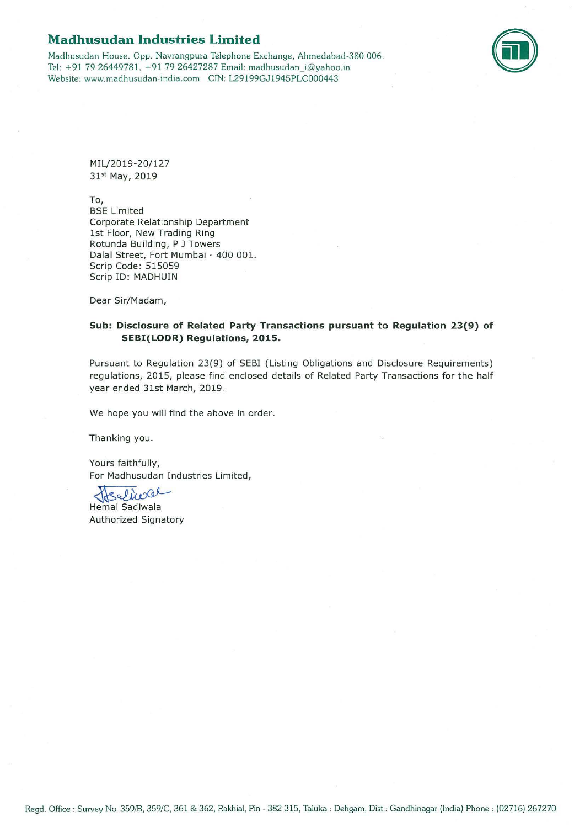## **Madhusudan Industries Limited**

Madhusudan House. Opp. Navrangpura Telephone Exchange, Ahmedabad-380 006. Tel: +91 79 26449781. +91 79 26427287 Email: madhusudan\_i@yahoo.in Website: www.madhusudan-india .com CIN: L29199GJ1945PLC000443



MIL/2019-20/127 31st May, 2019

To,

BSE Limited Corporate Relationship Department 1st Floor, New Trading Ring Rotunda Building, P J Towers Dalal Street, Fort Mumbai - 400 001. Scrip Code: 515059 Scrip ID: MADHUIN

Dear Sir/Madam,

## **Sub: Disclosure of Related Party Transactions pursuant to Regulation 23(9) of SEBI(LODR) Regulations, 2015.**

Pursuant to Regulation 23(9) of SEBI (Listing Obligations and Disclosure Requirements) regulations, 2015, please find enclosed details of Related Party Transactions for the half year ended 31st March, 2019.

We hope you will find the above in order.

Thanking you.

Yours faithfully, For Madhusudan Industries Limited,<br>{{Salice}}<br>Hemal Sadiwala

**Hemal Sadiwala** Authorized Signatory